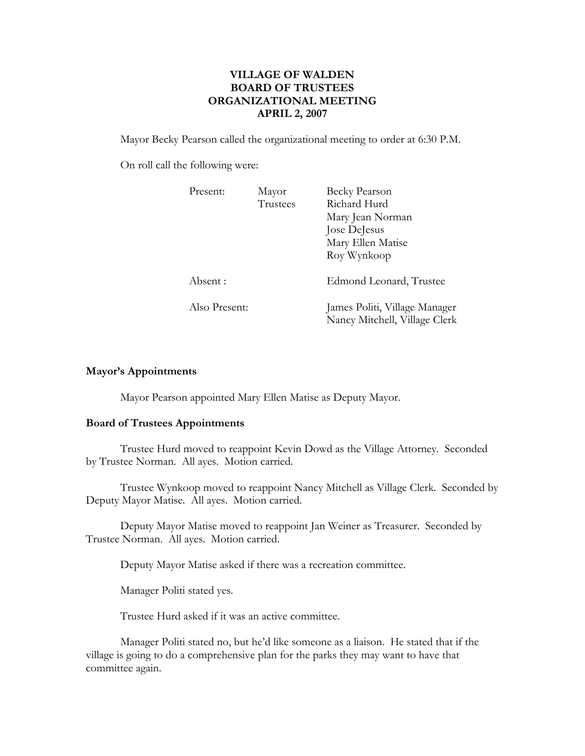# **VILLAGE OF WALDEN BOARD OF TRUSTEES ORGANIZATIONAL MEETING APRIL 2, 2007**

Mayor Becky Pearson called the organizational meeting to order at 6:30 P.M.

On roll call the following were:

| Present:      | Mayor<br>Trustees | <b>Becky Pearson</b><br>Richard Hurd<br>Mary Jean Norman<br>Jose DeJesus<br>Mary Ellen Matise<br>Roy Wynkoop |
|---------------|-------------------|--------------------------------------------------------------------------------------------------------------|
| Absent :      |                   | Edmond Leonard, Trustee                                                                                      |
| Also Present: |                   | James Politi, Village Manager<br>Nancy Mitchell, Village Clerk                                               |

#### **Mayor's Appointments**

Mayor Pearson appointed Mary Ellen Matise as Deputy Mayor.

## **Board of Trustees Appointments**

Trustee Hurd moved to reappoint Kevin Dowd as the Village Attorney. Seconded by Trustee Norman. All ayes. Motion carried.

Trustee Wynkoop moved to reappoint Nancy Mitchell as Village Clerk. Seconded by Deputy Mayor Matise. All ayes. Motion carried.

 Deputy Mayor Matise moved to reappoint Jan Weiner as Treasurer. Seconded by Trustee Norman. All ayes. Motion carried.

Deputy Mayor Matise asked if there was a recreation committee.

Manager Politi stated yes.

Trustee Hurd asked if it was an active committee.

Manager Politi stated no, but he'd like someone as a liaison. He stated that if the village is going to do a comprehensive plan for the parks they may want to have that committee again.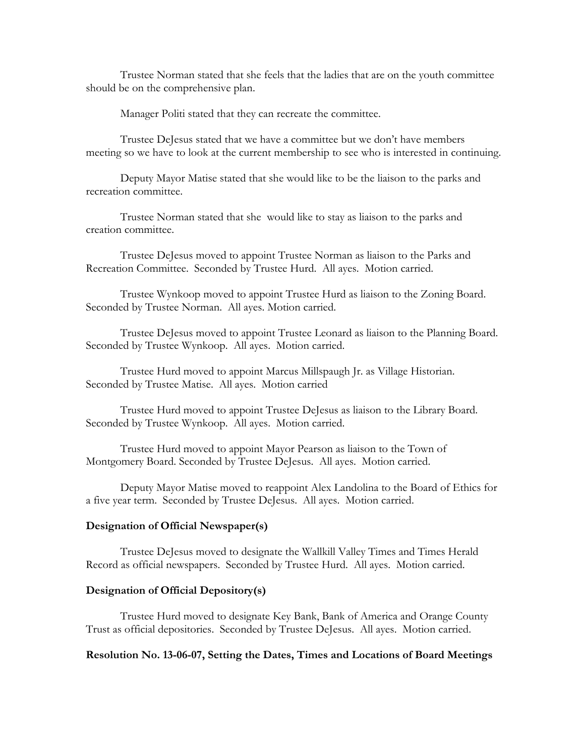Trustee Norman stated that she feels that the ladies that are on the youth committee should be on the comprehensive plan.

Manager Politi stated that they can recreate the committee.

Trustee DeJesus stated that we have a committee but we don't have members meeting so we have to look at the current membership to see who is interested in continuing.

Deputy Mayor Matise stated that she would like to be the liaison to the parks and recreation committee.

Trustee Norman stated that she would like to stay as liaison to the parks and creation committee.

Trustee DeJesus moved to appoint Trustee Norman as liaison to the Parks and Recreation Committee. Seconded by Trustee Hurd. All ayes. Motion carried.

 Trustee Wynkoop moved to appoint Trustee Hurd as liaison to the Zoning Board. Seconded by Trustee Norman. All ayes. Motion carried.

Trustee DeJesus moved to appoint Trustee Leonard as liaison to the Planning Board. Seconded by Trustee Wynkoop. All ayes. Motion carried.

Trustee Hurd moved to appoint Marcus Millspaugh Jr. as Village Historian. Seconded by Trustee Matise. All ayes. Motion carried

 Trustee Hurd moved to appoint Trustee DeJesus as liaison to the Library Board. Seconded by Trustee Wynkoop. All ayes. Motion carried.

Trustee Hurd moved to appoint Mayor Pearson as liaison to the Town of Montgomery Board. Seconded by Trustee DeJesus. All ayes. Motion carried.

 Deputy Mayor Matise moved to reappoint Alex Landolina to the Board of Ethics for a five year term. Seconded by Trustee DeJesus. All ayes. Motion carried.

## **Designation of Official Newspaper(s)**

 Trustee DeJesus moved to designate the Wallkill Valley Times and Times Herald Record as official newspapers. Seconded by Trustee Hurd. All ayes. Motion carried.

#### **Designation of Official Depository(s)**

Trustee Hurd moved to designate Key Bank, Bank of America and Orange County Trust as official depositories. Seconded by Trustee DeJesus. All ayes. Motion carried.

## **Resolution No. 13-06-07, Setting the Dates, Times and Locations of Board Meetings**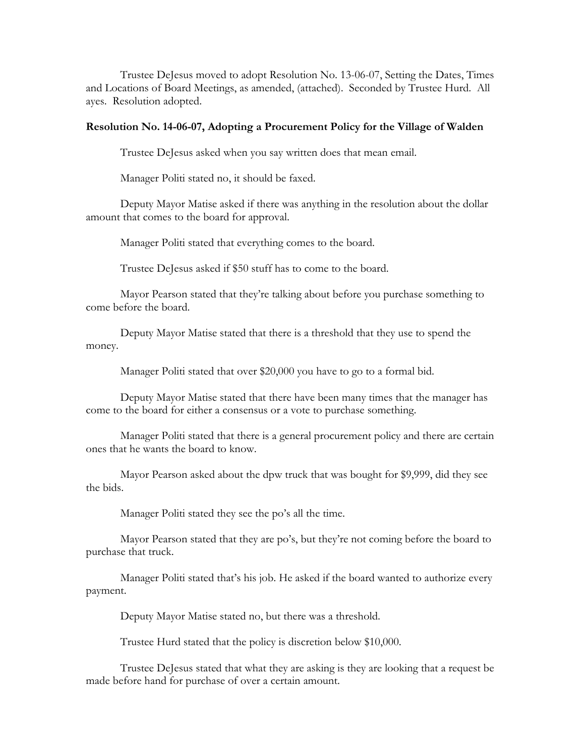Trustee DeJesus moved to adopt Resolution No. 13-06-07, Setting the Dates, Times and Locations of Board Meetings, as amended, (attached). Seconded by Trustee Hurd. All ayes. Resolution adopted.

## **Resolution No. 14-06-07, Adopting a Procurement Policy for the Village of Walden**

Trustee DeJesus asked when you say written does that mean email.

Manager Politi stated no, it should be faxed.

 Deputy Mayor Matise asked if there was anything in the resolution about the dollar amount that comes to the board for approval.

Manager Politi stated that everything comes to the board.

Trustee DeJesus asked if \$50 stuff has to come to the board.

 Mayor Pearson stated that they're talking about before you purchase something to come before the board.

 Deputy Mayor Matise stated that there is a threshold that they use to spend the money.

Manager Politi stated that over \$20,000 you have to go to a formal bid.

 Deputy Mayor Matise stated that there have been many times that the manager has come to the board for either a consensus or a vote to purchase something.

 Manager Politi stated that there is a general procurement policy and there are certain ones that he wants the board to know.

 Mayor Pearson asked about the dpw truck that was bought for \$9,999, did they see the bids.

Manager Politi stated they see the po's all the time.

 Mayor Pearson stated that they are po's, but they're not coming before the board to purchase that truck.

 Manager Politi stated that's his job. He asked if the board wanted to authorize every payment.

Deputy Mayor Matise stated no, but there was a threshold.

Trustee Hurd stated that the policy is discretion below \$10,000.

 Trustee DeJesus stated that what they are asking is they are looking that a request be made before hand for purchase of over a certain amount.